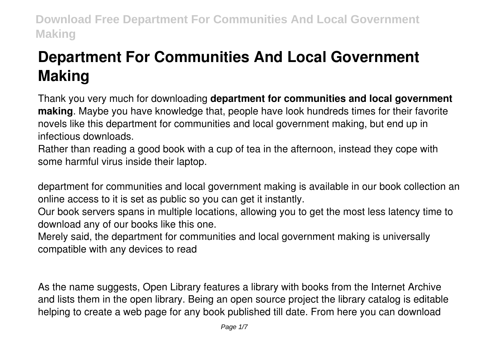# **Department For Communities And Local Government Making**

Thank you very much for downloading **department for communities and local government making**. Maybe you have knowledge that, people have look hundreds times for their favorite novels like this department for communities and local government making, but end up in infectious downloads.

Rather than reading a good book with a cup of tea in the afternoon, instead they cope with some harmful virus inside their laptop.

department for communities and local government making is available in our book collection an online access to it is set as public so you can get it instantly.

Our book servers spans in multiple locations, allowing you to get the most less latency time to download any of our books like this one.

Merely said, the department for communities and local government making is universally compatible with any devices to read

As the name suggests, Open Library features a library with books from the Internet Archive and lists them in the open library. Being an open source project the library catalog is editable helping to create a web page for any book published till date. From here you can download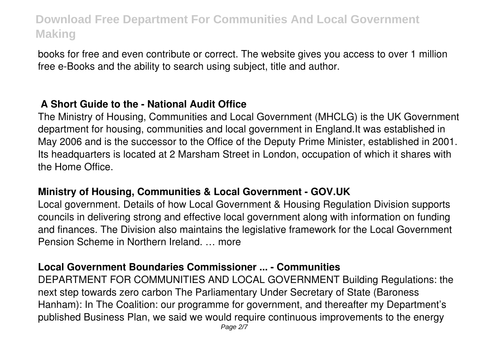books for free and even contribute or correct. The website gives you access to over 1 million free e-Books and the ability to search using subject, title and author.

### **A Short Guide to the - National Audit Office**

The Ministry of Housing, Communities and Local Government (MHCLG) is the UK Government department for housing, communities and local government in England.It was established in May 2006 and is the successor to the Office of the Deputy Prime Minister, established in 2001. Its headquarters is located at 2 Marsham Street in London, occupation of which it shares with the Home Office.

#### **Ministry of Housing, Communities & Local Government - GOV.UK**

Local government. Details of how Local Government & Housing Regulation Division supports councils in delivering strong and effective local government along with information on funding and finances. The Division also maintains the legislative framework for the Local Government Pension Scheme in Northern Ireland. … more

#### **Local Government Boundaries Commissioner ... - Communities**

DEPARTMENT FOR COMMUNITIES AND LOCAL GOVERNMENT Building Regulations: the next step towards zero carbon The Parliamentary Under Secretary of State (Baroness Hanham): In The Coalition: our programme for government, and thereafter my Department's published Business Plan, we said we would require continuous improvements to the energy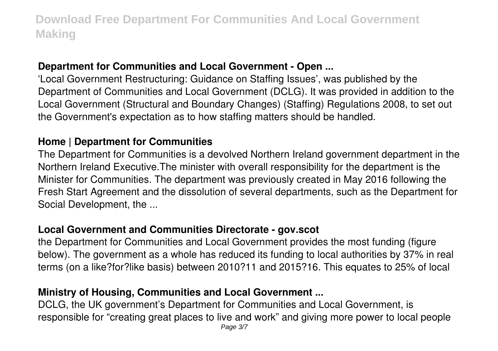### **Department for Communities and Local Government - Open ...**

'Local Government Restructuring: Guidance on Staffing Issues', was published by the Department of Communities and Local Government (DCLG). It was provided in addition to the Local Government (Structural and Boundary Changes) (Staffing) Regulations 2008, to set out the Government's expectation as to how staffing matters should be handled.

#### **Home | Department for Communities**

The Department for Communities is a devolved Northern Ireland government department in the Northern Ireland Executive.The minister with overall responsibility for the department is the Minister for Communities. The department was previously created in May 2016 following the Fresh Start Agreement and the dissolution of several departments, such as the Department for Social Development, the ...

#### **Local Government and Communities Directorate - gov.scot**

the Department for Communities and Local Government provides the most funding (figure below). The government as a whole has reduced its funding to local authorities by 37% in real terms (on a like?for?like basis) between 2010?11 and 2015?16. This equates to 25% of local

### **Ministry of Housing, Communities and Local Government ...**

DCLG, the UK government's Department for Communities and Local Government, is responsible for "creating great places to live and work" and giving more power to local people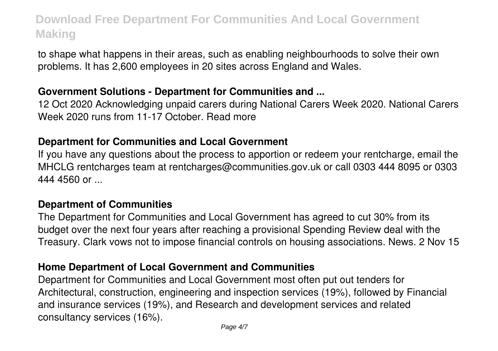to shape what happens in their areas, such as enabling neighbourhoods to solve their own problems. It has 2,600 employees in 20 sites across England and Wales.

#### **Government Solutions - Department for Communities and ...**

12 Oct 2020 Acknowledging unpaid carers during National Carers Week 2020. National Carers Week 2020 runs from 11-17 October. Read more

#### **Department for Communities and Local Government**

If you have any questions about the process to apportion or redeem your rentcharge, email the MHCLG rentcharges team at rentcharges@communities.gov.uk or call 0303 444 8095 or 0303 444 4560 or ...

#### **Department of Communities**

The Department for Communities and Local Government has agreed to cut 30% from its budget over the next four years after reaching a provisional Spending Review deal with the Treasury. Clark vows not to impose financial controls on housing associations. News. 2 Nov 15

#### **Home Department of Local Government and Communities**

Department for Communities and Local Government most often put out tenders for Architectural, construction, engineering and inspection services (19%), followed by Financial and insurance services (19%), and Research and development services and related consultancy services (16%).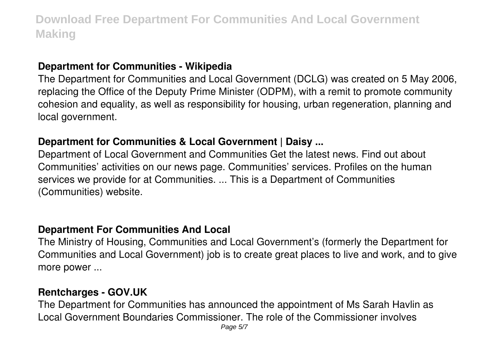#### **Department for Communities - Wikipedia**

The Department for Communities and Local Government (DCLG) was created on 5 May 2006, replacing the Office of the Deputy Prime Minister (ODPM), with a remit to promote community cohesion and equality, as well as responsibility for housing, urban regeneration, planning and local government.

### **Department for Communities & Local Government | Daisy ...**

Department of Local Government and Communities Get the latest news. Find out about Communities' activities on our news page. Communities' services. Profiles on the human services we provide for at Communities. ... This is a Department of Communities (Communities) website.

### **Department For Communities And Local**

The Ministry of Housing, Communities and Local Government's (formerly the Department for Communities and Local Government) job is to create great places to live and work, and to give more power ...

### **Rentcharges - GOV.UK**

The Department for Communities has announced the appointment of Ms Sarah Havlin as Local Government Boundaries Commissioner. The role of the Commissioner involves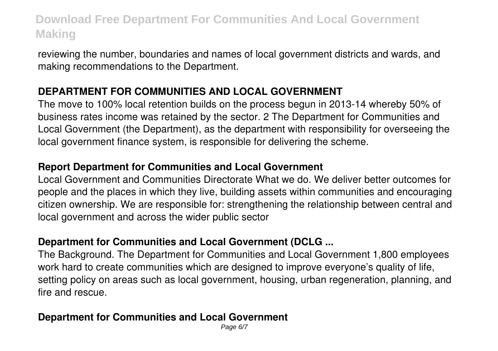reviewing the number, boundaries and names of local government districts and wards, and making recommendations to the Department.

# **DEPARTMENT FOR COMMUNITIES AND LOCAL GOVERNMENT**

The move to 100% local retention builds on the process begun in 2013-14 whereby 50% of business rates income was retained by the sector. 2 The Department for Communities and Local Government (the Department), as the department with responsibility for overseeing the local government finance system, is responsible for delivering the scheme.

### **Report Department for Communities and Local Government**

Local Government and Communities Directorate What we do. We deliver better outcomes for people and the places in which they live, building assets within communities and encouraging citizen ownership. We are responsible for: strengthening the relationship between central and local government and across the wider public sector

# **Department for Communities and Local Government (DCLG ...**

The Background. The Department for Communities and Local Government 1,800 employees work hard to create communities which are designed to improve everyone's quality of life, setting policy on areas such as local government, housing, urban regeneration, planning, and fire and rescue.

# **Department for Communities and Local Government**